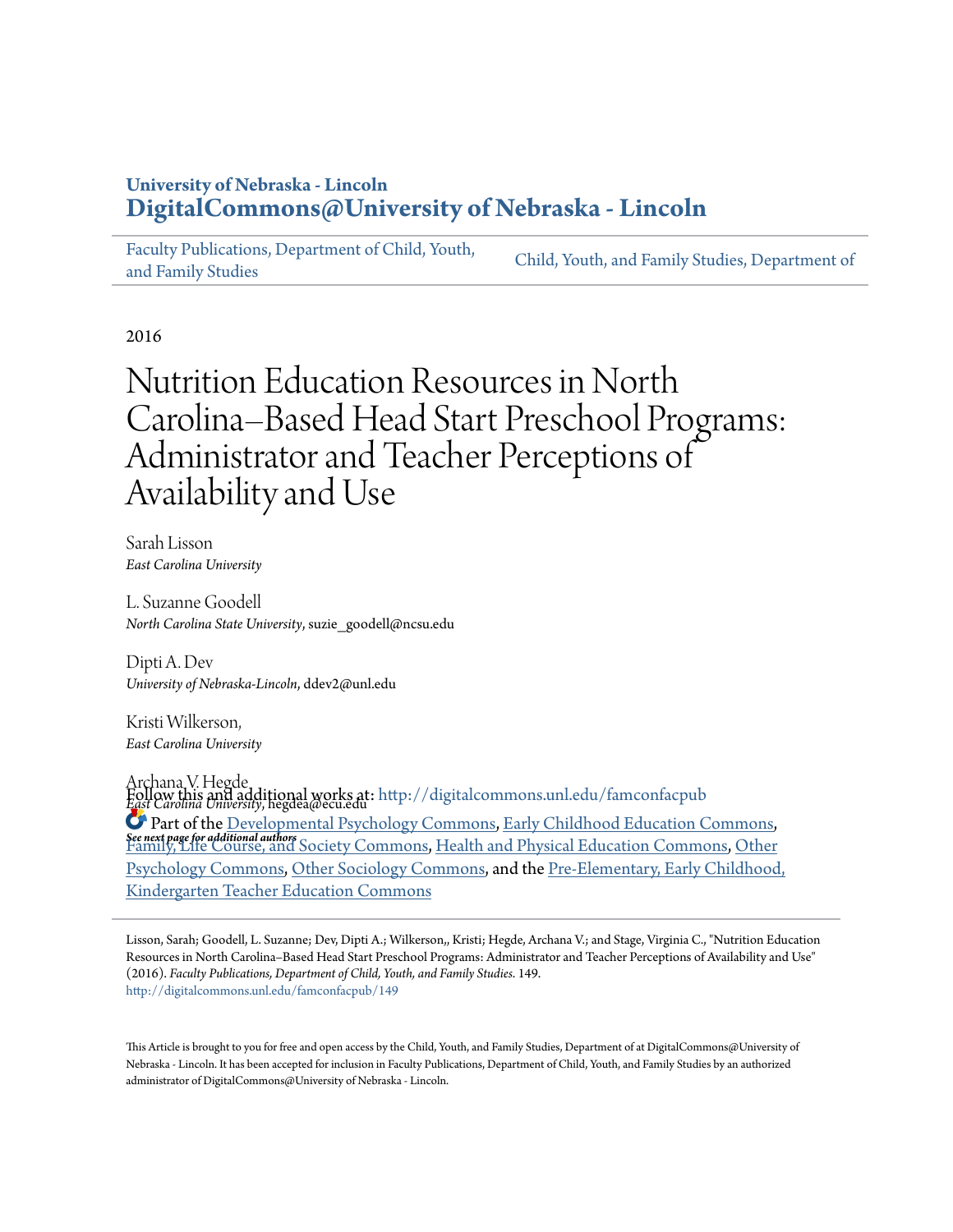# **University of Nebraska - Lincoln [DigitalCommons@University of Nebraska - Lincoln](http://digitalcommons.unl.edu?utm_source=digitalcommons.unl.edu%2Ffamconfacpub%2F149&utm_medium=PDF&utm_campaign=PDFCoverPages)**

[Faculty Publications, Department of Child, Youth,](http://digitalcommons.unl.edu/famconfacpub?utm_source=digitalcommons.unl.edu%2Ffamconfacpub%2F149&utm_medium=PDF&utm_campaign=PDFCoverPages) [and Family Studies](http://digitalcommons.unl.edu/famconfacpub?utm_source=digitalcommons.unl.edu%2Ffamconfacpub%2F149&utm_medium=PDF&utm_campaign=PDFCoverPages)

[Child, Youth, and Family Studies, Department of](http://digitalcommons.unl.edu/family_consumer_sci?utm_source=digitalcommons.unl.edu%2Ffamconfacpub%2F149&utm_medium=PDF&utm_campaign=PDFCoverPages)

2016

# Nutrition Education Resources in North Carolina–Based Head Start Preschool Programs: Administrator and Teacher Perceptions of Availability and Use

Sarah Lisson *East Carolina University*

L. Suzanne Goodell *North Carolina State University*, suzie\_goodell@ncsu.edu

Dipti A. Dev *University of Nebraska-Lincoln*, ddev2@unl.edu

Kristi Wilkerson, *East Carolina University*

Archana V. Hegde *East Carolina University*, hegdea@ecu.edu Follow this and additional works at: [http://digitalcommons.unl.edu/famconfacpub](http://digitalcommons.unl.edu/famconfacpub?utm_source=digitalcommons.unl.edu%2Ffamconfacpub%2F149&utm_medium=PDF&utm_campaign=PDFCoverPages) *See next page for additional authors* Part of the [Developmental Psychology Commons,](http://network.bepress.com/hgg/discipline/410?utm_source=digitalcommons.unl.edu%2Ffamconfacpub%2F149&utm_medium=PDF&utm_campaign=PDFCoverPages) [Early Childhood Education Commons](http://network.bepress.com/hgg/discipline/1377?utm_source=digitalcommons.unl.edu%2Ffamconfacpub%2F149&utm_medium=PDF&utm_campaign=PDFCoverPages), [Family, Life Course, and Society Commons](http://network.bepress.com/hgg/discipline/419?utm_source=digitalcommons.unl.edu%2Ffamconfacpub%2F149&utm_medium=PDF&utm_campaign=PDFCoverPages), [Health and Physical Education Commons,](http://network.bepress.com/hgg/discipline/1327?utm_source=digitalcommons.unl.edu%2Ffamconfacpub%2F149&utm_medium=PDF&utm_campaign=PDFCoverPages) [Other](http://network.bepress.com/hgg/discipline/415?utm_source=digitalcommons.unl.edu%2Ffamconfacpub%2F149&utm_medium=PDF&utm_campaign=PDFCoverPages) [Psychology Commons,](http://network.bepress.com/hgg/discipline/415?utm_source=digitalcommons.unl.edu%2Ffamconfacpub%2F149&utm_medium=PDF&utm_campaign=PDFCoverPages) [Other Sociology Commons,](http://network.bepress.com/hgg/discipline/434?utm_source=digitalcommons.unl.edu%2Ffamconfacpub%2F149&utm_medium=PDF&utm_campaign=PDFCoverPages) and the [Pre-Elementary, Early Childhood,](http://network.bepress.com/hgg/discipline/808?utm_source=digitalcommons.unl.edu%2Ffamconfacpub%2F149&utm_medium=PDF&utm_campaign=PDFCoverPages) [Kindergarten Teacher Education Commons](http://network.bepress.com/hgg/discipline/808?utm_source=digitalcommons.unl.edu%2Ffamconfacpub%2F149&utm_medium=PDF&utm_campaign=PDFCoverPages)

Lisson, Sarah; Goodell, L. Suzanne; Dev, Dipti A.; Wilkerson,, Kristi; Hegde, Archana V.; and Stage, Virginia C., "Nutrition Education Resources in North Carolina–Based Head Start Preschool Programs: Administrator and Teacher Perceptions of Availability and Use" (2016). *Faculty Publications, Department of Child, Youth, and Family Studies*. 149. [http://digitalcommons.unl.edu/famconfacpub/149](http://digitalcommons.unl.edu/famconfacpub/149?utm_source=digitalcommons.unl.edu%2Ffamconfacpub%2F149&utm_medium=PDF&utm_campaign=PDFCoverPages)

This Article is brought to you for free and open access by the Child, Youth, and Family Studies, Department of at DigitalCommons@University of Nebraska - Lincoln. It has been accepted for inclusion in Faculty Publications, Department of Child, Youth, and Family Studies by an authorized administrator of DigitalCommons@University of Nebraska - Lincoln.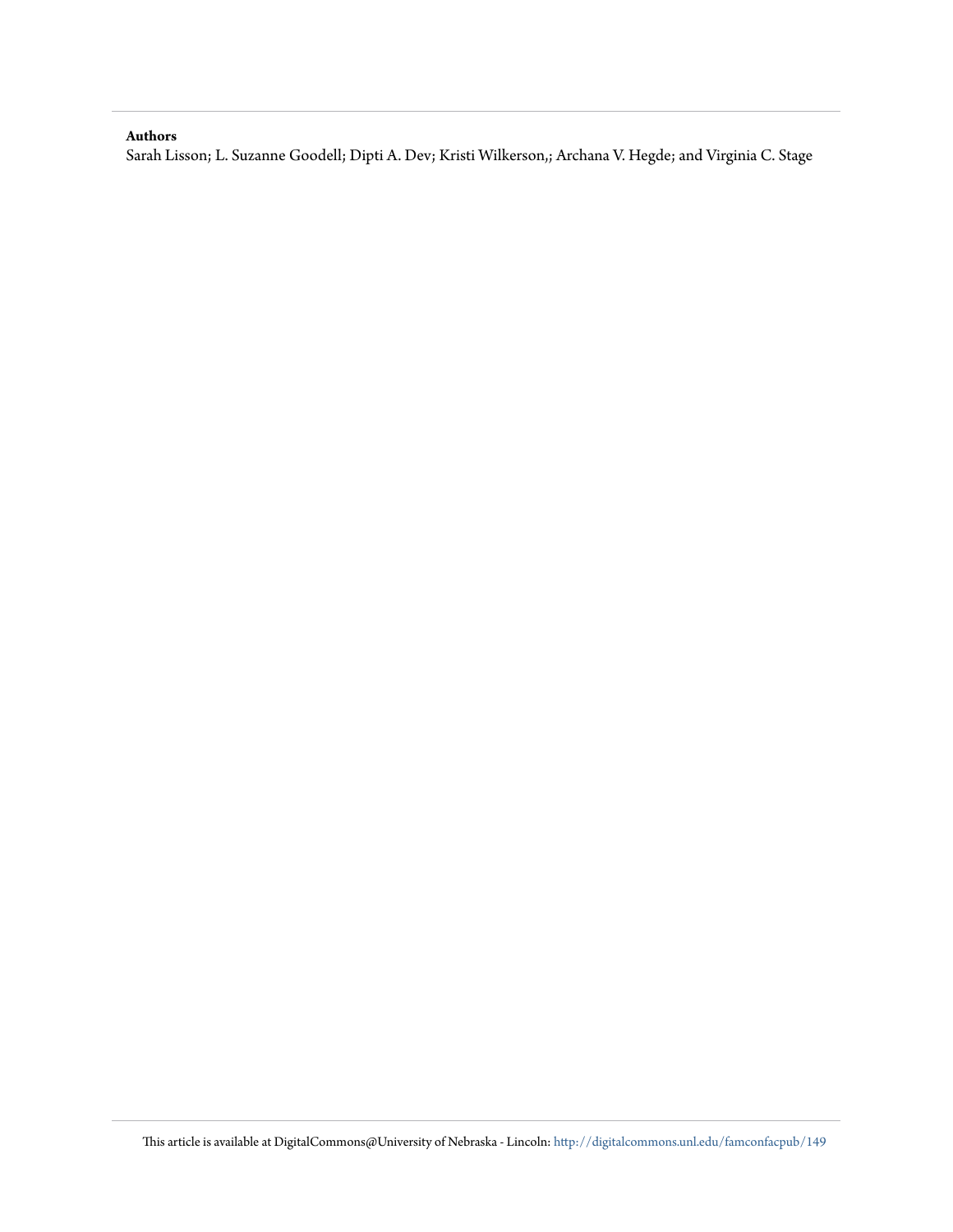# **Authors**

Sarah Lisson; L. Suzanne Goodell; Dipti A. Dev; Kristi Wilkerson,; Archana V. Hegde; and Virginia C. Stage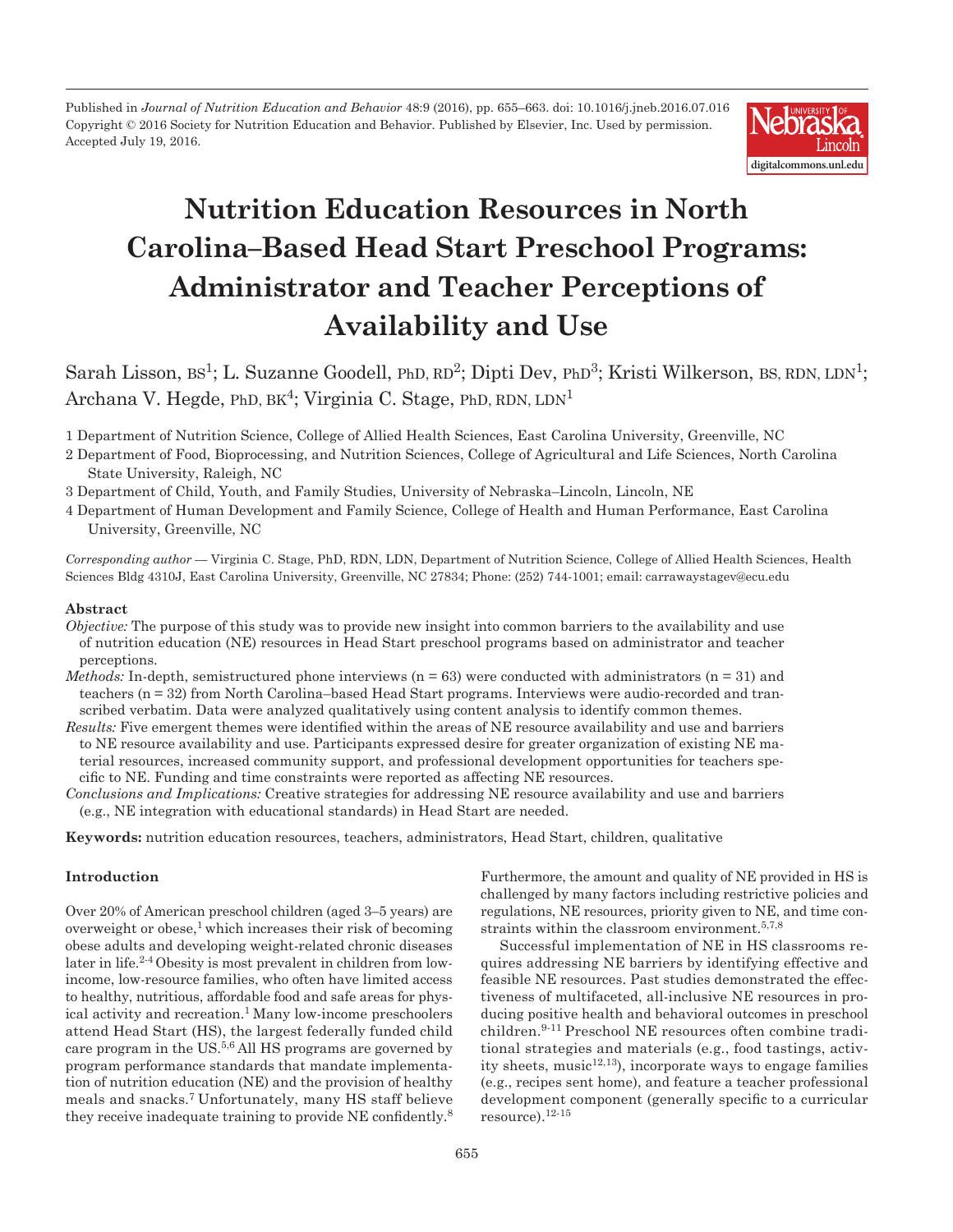Published in *Journal of Nutrition Education and Behavior* 48:9 (2016), pp. 655–663. doi: 10.1016/j.jneb.2016.07.016 Copyright © 2016 Society for Nutrition Education and Behavior. Published by Elsevier, Inc. Used by permission. Accepted July 19, 2016.



# **Nutrition Education Resources in North Carolina–Based Head Start Preschool Programs: Administrator and Teacher Perceptions of Availability and Use**

Sarah Lisson, BS<sup>1</sup>; L. Suzanne Goodell, PhD, RD<sup>2</sup>; Dipti Dev, PhD<sup>3</sup>; Kristi Wilkerson, BS, RDN, LDN<sup>1</sup>; Archana V. Hegde, PhD,  $BK<sup>4</sup>$ ; Virginia C. Stage, PhD, RDN,  $LDN<sup>1</sup>$ 

1 Department of Nutrition Science, College of Allied Health Sciences, East Carolina University, Greenville, NC

- 2 Department of Food, Bioprocessing, and Nutrition Sciences, College of Agricultural and Life Sciences, North Carolina State University, Raleigh, NC
- 3 Department of Child, Youth, and Family Studies, University of Nebraska–Lincoln, Lincoln, NE
- 4 Department of Human Development and Family Science, College of Health and Human Performance, East Carolina University, Greenville, NC

*Corresponding author* — Virginia C. Stage, PhD, RDN, LDN, Department of Nutrition Science, College of Allied Health Sciences, Health Sciences Bldg 4310J, East Carolina University, Greenville, NC 27834; Phone: (252) 744-1001; email: carrawaystagev@ecu.edu

## **Abstract**

- *Objective:* The purpose of this study was to provide new insight into common barriers to the availability and use of nutrition education (NE) resources in Head Start preschool programs based on administrator and teacher perceptions.
- *Methods:* In-depth, semistructured phone interviews  $(n = 63)$  were conducted with administrators  $(n = 31)$  and teachers (n = 32) from North Carolina–based Head Start programs. Interviews were audio-recorded and transcribed verbatim. Data were analyzed qualitatively using content analysis to identify common themes.
- *Results:* Five emergent themes were identified within the areas of NE resource availability and use and barriers to NE resource availability and use. Participants expressed desire for greater organization of existing NE material resources, increased community support, and professional development opportunities for teachers specific to NE. Funding and time constraints were reported as affecting NE resources.
- *Conclusions and Implications:* Creative strategies for addressing NE resource availability and use and barriers (e.g., NE integration with educational standards) in Head Start are needed.

**Keywords:** nutrition education resources, teachers, administrators, Head Start, children, qualitative

# **Introduction**

Over 20% of American preschool children (aged 3–5 years) are overweight or obese, $\frac{1}{2}$  which increases their risk of becoming obese adults and developing weight-related chronic diseases later in life.2-4 Obesity is most prevalent in children from lowincome, low-resource families, who often have limited access to healthy, nutritious, affordable food and safe areas for physical activity and recreation.<sup>1</sup> Many low-income preschoolers attend Head Start (HS), the largest federally funded child care program in the US.5,6 All HS programs are governed by program performance standards that mandate implementation of nutrition education (NE) and the provision of healthy meals and snacks.7 Unfortunately, many HS staff believe they receive inadequate training to provide NE confidently.<sup>8</sup> Furthermore, the amount and quality of NE provided in HS is challenged by many factors including restrictive policies and regulations, NE resources, priority given to NE, and time constraints within the classroom environment.5,7,8

Successful implementation of NE in HS classrooms requires addressing NE barriers by identifying effective and feasible NE resources. Past studies demonstrated the effectiveness of multifaceted, all-inclusive NE resources in producing positive health and behavioral outcomes in preschool children.9-11 Preschool NE resources often combine traditional strategies and materials (e.g., food tastings, activity sheets, music $12,13$ ), incorporate ways to engage families (e.g., recipes sent home), and feature a teacher professional development component (generally specific to a curricular resource).12-15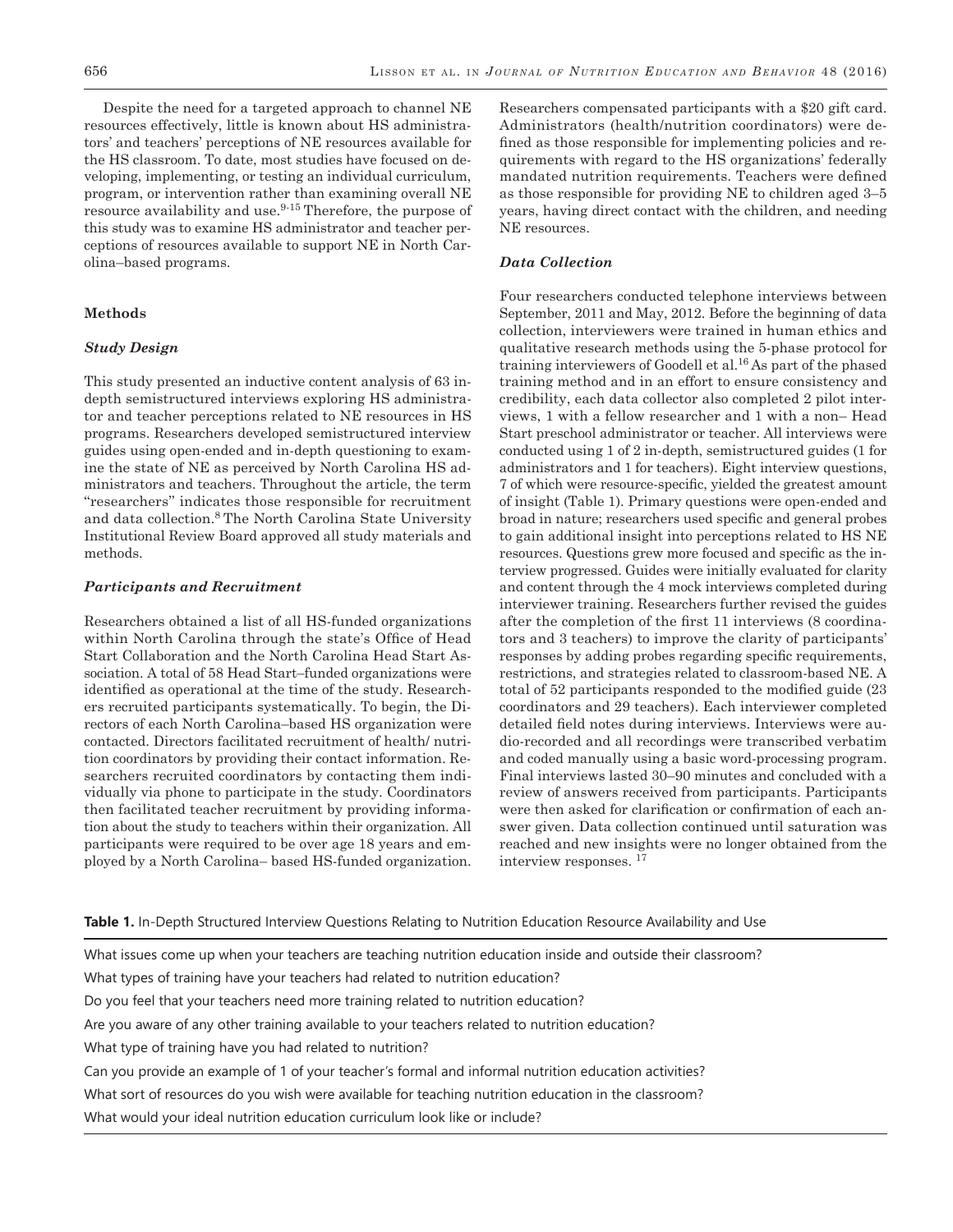Despite the need for a targeted approach to channel NE resources effectively, little is known about HS administrators' and teachers' perceptions of NE resources available for the HS classroom. To date, most studies have focused on developing, implementing, or testing an individual curriculum, program, or intervention rather than examining overall NE resource availability and use.<sup>9-15</sup> Therefore, the purpose of this study was to examine HS administrator and teacher perceptions of resources available to support NE in North Carolina–based programs.

# **Methods**

# *Study Design*

This study presented an inductive content analysis of 63 indepth semistructured interviews exploring HS administrator and teacher perceptions related to NE resources in HS programs. Researchers developed semistructured interview guides using open-ended and in-depth questioning to examine the state of NE as perceived by North Carolina HS administrators and teachers. Throughout the article, the term ''researchers'' indicates those responsible for recruitment and data collection.8 The North Carolina State University Institutional Review Board approved all study materials and methods.

# *Participants and Recruitment*

Researchers obtained a list of all HS-funded organizations within North Carolina through the state's Office of Head Start Collaboration and the North Carolina Head Start Association. A total of 58 Head Start–funded organizations were identified as operational at the time of the study. Researchers recruited participants systematically. To begin, the Directors of each North Carolina–based HS organization were contacted. Directors facilitated recruitment of health/ nutrition coordinators by providing their contact information. Researchers recruited coordinators by contacting them individually via phone to participate in the study. Coordinators then facilitated teacher recruitment by providing information about the study to teachers within their organization. All participants were required to be over age 18 years and employed by a North Carolina– based HS-funded organization.

Researchers compensated participants with a \$20 gift card. Administrators (health/nutrition coordinators) were defined as those responsible for implementing policies and requirements with regard to the HS organizations' federally mandated nutrition requirements. Teachers were defined as those responsible for providing NE to children aged 3–5 years, having direct contact with the children, and needing NE resources.

# *Data Collection*

Four researchers conducted telephone interviews between September, 2011 and May, 2012. Before the beginning of data collection, interviewers were trained in human ethics and qualitative research methods using the 5-phase protocol for training interviewers of Goodell et al.16 As part of the phased training method and in an effort to ensure consistency and credibility, each data collector also completed 2 pilot interviews, 1 with a fellow researcher and 1 with a non– Head Start preschool administrator or teacher. All interviews were conducted using 1 of 2 in-depth, semistructured guides (1 for administrators and 1 for teachers). Eight interview questions, 7 of which were resource-specific, yielded the greatest amount of insight (Table 1). Primary questions were open-ended and broad in nature; researchers used specific and general probes to gain additional insight into perceptions related to HS NE resources. Questions grew more focused and specific as the interview progressed. Guides were initially evaluated for clarity and content through the 4 mock interviews completed during interviewer training. Researchers further revised the guides after the completion of the first 11 interviews (8 coordinators and 3 teachers) to improve the clarity of participants' responses by adding probes regarding specific requirements, restrictions, and strategies related to classroom-based NE. A total of 52 participants responded to the modified guide (23 coordinators and 29 teachers). Each interviewer completed detailed field notes during interviews. Interviews were audio-recorded and all recordings were transcribed verbatim and coded manually using a basic word-processing program. Final interviews lasted 30–90 minutes and concluded with a review of answers received from participants. Participants were then asked for clarification or confirmation of each answer given. Data collection continued until saturation was reached and new insights were no longer obtained from the interview responses. 17

**Table 1.** In-Depth Structured Interview Questions Relating to Nutrition Education Resource Availability and Use

What issues come up when your teachers are teaching nutrition education inside and outside their classroom?

What types of training have your teachers had related to nutrition education?

Do you feel that your teachers need more training related to nutrition education?

Are you aware of any other training available to your teachers related to nutrition education?

What type of training have you had related to nutrition?

Can you provide an example of 1 of your teacher's formal and informal nutrition education activities?

What sort of resources do you wish were available for teaching nutrition education in the classroom?

What would your ideal nutrition education curriculum look like or include?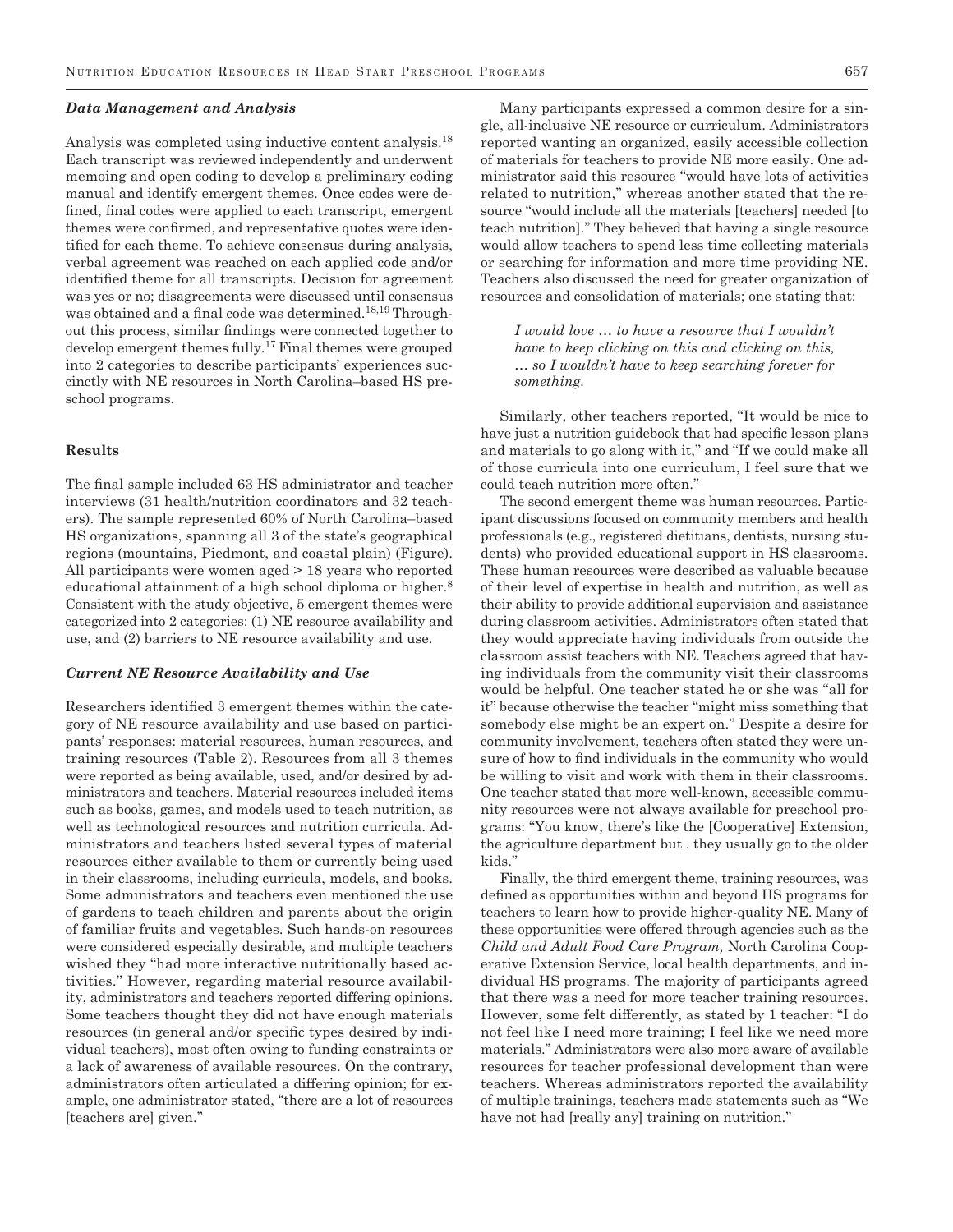#### *Data Management and Analysis*

Analysis was completed using inductive content analysis.18 Each transcript was reviewed independently and underwent memoing and open coding to develop a preliminary coding manual and identify emergent themes. Once codes were defined, final codes were applied to each transcript, emergent themes were confirmed, and representative quotes were identified for each theme. To achieve consensus during analysis, verbal agreement was reached on each applied code and/or identified theme for all transcripts. Decision for agreement was yes or no; disagreements were discussed until consensus was obtained and a final code was determined.<sup>18,19</sup> Throughout this process, similar findings were connected together to develop emergent themes fully.17 Final themes were grouped into 2 categories to describe participants' experiences succinctly with NE resources in North Carolina–based HS preschool programs.

### **Results**

The final sample included 63 HS administrator and teacher interviews (31 health/nutrition coordinators and 32 teachers). The sample represented 60% of North Carolina–based HS organizations, spanning all 3 of the state's geographical regions (mountains, Piedmont, and coastal plain) (Figure). All participants were women aged > 18 years who reported educational attainment of a high school diploma or higher.<sup>8</sup> Consistent with the study objective, 5 emergent themes were categorized into 2 categories: (1) NE resource availability and use, and (2) barriers to NE resource availability and use.

### *Current NE Resource Availability and Use*

Researchers identified 3 emergent themes within the category of NE resource availability and use based on participants' responses: material resources, human resources, and training resources (Table 2). Resources from all 3 themes were reported as being available, used, and/or desired by administrators and teachers. Material resources included items such as books, games, and models used to teach nutrition, as well as technological resources and nutrition curricula. Administrators and teachers listed several types of material resources either available to them or currently being used in their classrooms, including curricula, models, and books. Some administrators and teachers even mentioned the use of gardens to teach children and parents about the origin of familiar fruits and vegetables. Such hands-on resources were considered especially desirable, and multiple teachers wished they ''had more interactive nutritionally based activities.'' However, regarding material resource availability, administrators and teachers reported differing opinions. Some teachers thought they did not have enough materials resources (in general and/or specific types desired by individual teachers), most often owing to funding constraints or a lack of awareness of available resources. On the contrary, administrators often articulated a differing opinion; for example, one administrator stated, ''there are a lot of resources [teachers are] given.''

Many participants expressed a common desire for a single, all-inclusive NE resource or curriculum. Administrators reported wanting an organized, easily accessible collection of materials for teachers to provide NE more easily. One administrator said this resource ''would have lots of activities related to nutrition,'' whereas another stated that the resource ''would include all the materials [teachers] needed [to teach nutrition].'' They believed that having a single resource would allow teachers to spend less time collecting materials or searching for information and more time providing NE. Teachers also discussed the need for greater organization of resources and consolidation of materials; one stating that:

*I would love … to have a resource that I wouldn't have to keep clicking on this and clicking on this, … so I wouldn't have to keep searching forever for something.* 

Similarly, other teachers reported, ''It would be nice to have just a nutrition guidebook that had specific lesson plans and materials to go along with it," and "If we could make all of those curricula into one curriculum, I feel sure that we could teach nutrition more often.''

The second emergent theme was human resources. Participant discussions focused on community members and health professionals (e.g., registered dietitians, dentists, nursing students) who provided educational support in HS classrooms. These human resources were described as valuable because of their level of expertise in health and nutrition, as well as their ability to provide additional supervision and assistance during classroom activities. Administrators often stated that they would appreciate having individuals from outside the classroom assist teachers with NE. Teachers agreed that having individuals from the community visit their classrooms would be helpful. One teacher stated he or she was ''all for it'' because otherwise the teacher ''might miss something that somebody else might be an expert on.'' Despite a desire for community involvement, teachers often stated they were unsure of how to find individuals in the community who would be willing to visit and work with them in their classrooms. One teacher stated that more well-known, accessible community resources were not always available for preschool programs: ''You know, there's like the [Cooperative] Extension, the agriculture department but . they usually go to the older kids.''

Finally, the third emergent theme, training resources, was defined as opportunities within and beyond HS programs for teachers to learn how to provide higher-quality NE. Many of these opportunities were offered through agencies such as the *Child and Adult Food Care Program,* North Carolina Cooperative Extension Service, local health departments, and individual HS programs. The majority of participants agreed that there was a need for more teacher training resources. However, some felt differently, as stated by 1 teacher: ''I do not feel like I need more training; I feel like we need more materials.'' Administrators were also more aware of available resources for teacher professional development than were teachers. Whereas administrators reported the availability of multiple trainings, teachers made statements such as ''We have not had [really any] training on nutrition.''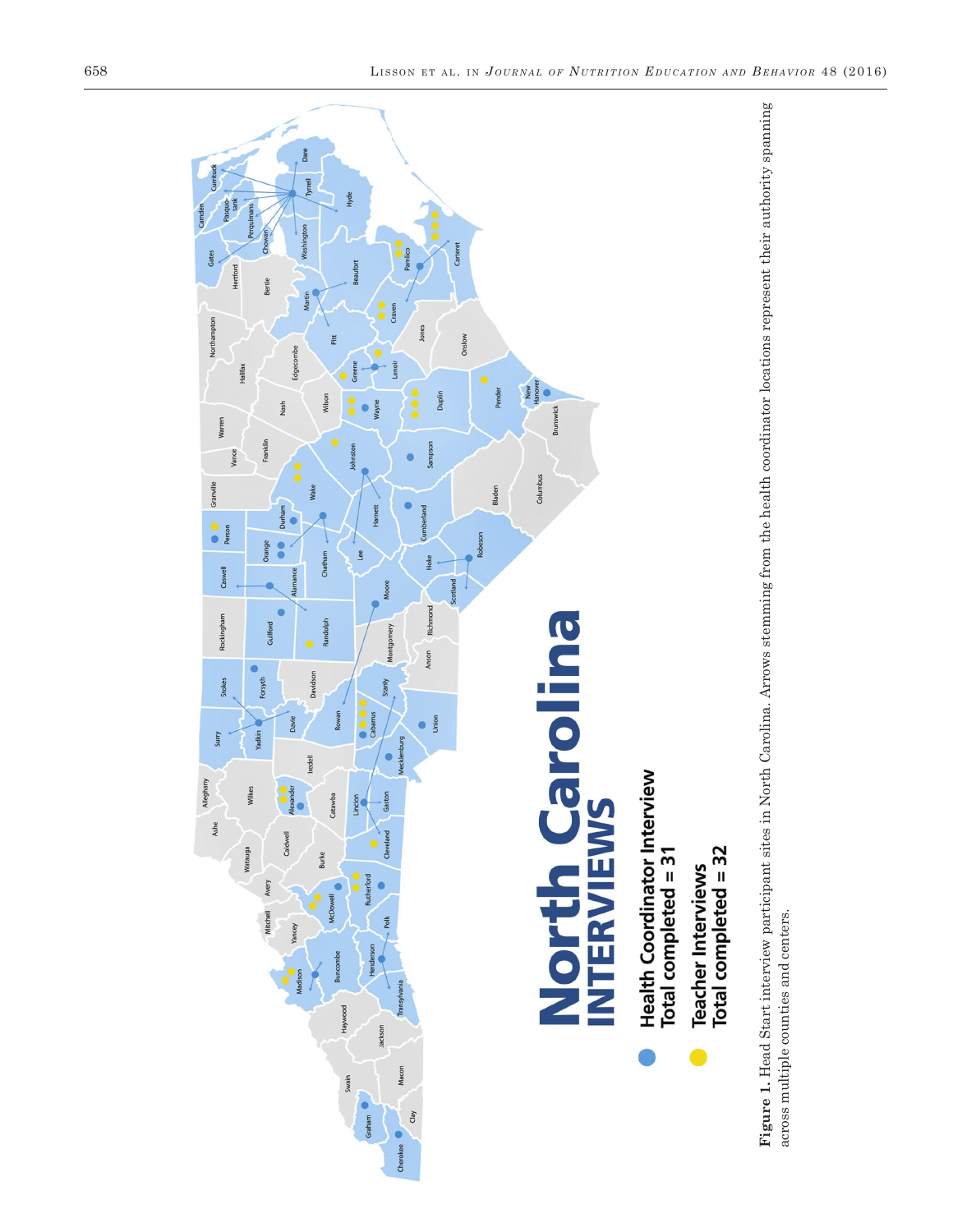

**Figure 1.** Head Start interview participant sites in North Carolina. Arrows stemming from the health coordinator locations represent their authority spanning across multiple counties and centers. Figure 1. Head Start interview participant sites in North Carolina. Arrows stemming from the health coordinator locations represent their authority spanning across multiple counties and centers.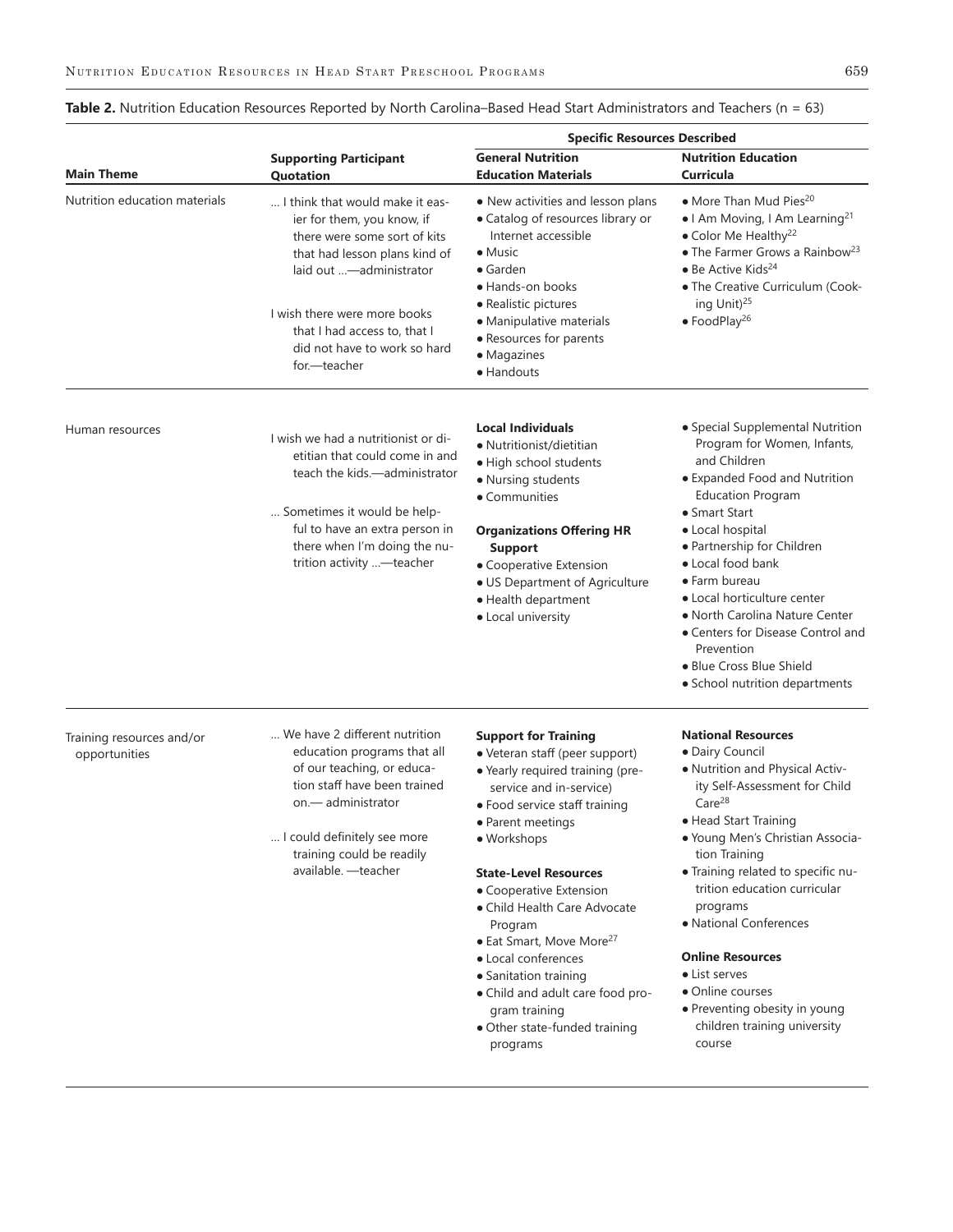|                                            |                                                                                                                                                                                                                                      | <b>Specific Resources Described</b>                                                                                                                                                                                                                                                   |                                                                                                                                                                                                                                                                                                                                                                           |
|--------------------------------------------|--------------------------------------------------------------------------------------------------------------------------------------------------------------------------------------------------------------------------------------|---------------------------------------------------------------------------------------------------------------------------------------------------------------------------------------------------------------------------------------------------------------------------------------|---------------------------------------------------------------------------------------------------------------------------------------------------------------------------------------------------------------------------------------------------------------------------------------------------------------------------------------------------------------------------|
| <b>Main Theme</b>                          | <b>Supporting Participant</b><br>Quotation                                                                                                                                                                                           | <b>General Nutrition</b><br><b>Education Materials</b>                                                                                                                                                                                                                                | <b>Nutrition Education</b><br>Curricula                                                                                                                                                                                                                                                                                                                                   |
| Nutrition education materials              | I think that would make it eas-<br>ier for them, you know, if<br>there were some sort of kits<br>that had lesson plans kind of<br>laid out -administrator                                                                            | • New activities and lesson plans<br>• Catalog of resources library or<br>Internet accessible<br>$\bullet$ Music<br>$\bullet$ Garden<br>• Hands-on books                                                                                                                              | · More Than Mud Pies <sup>20</sup><br>• I Am Moving, I Am Learning <sup>21</sup><br>• Color Me Healthy <sup>22</sup><br>• The Farmer Grows a Rainbow <sup>23</sup><br>$\bullet$ Be Active Kids <sup>24</sup><br>• The Creative Curriculum (Cook-                                                                                                                          |
|                                            | I wish there were more books<br>that I had access to, that I<br>did not have to work so hard<br>for.-teacher                                                                                                                         | • Realistic pictures<br>• Manipulative materials<br>• Resources for parents<br>• Magazines<br>• Handouts                                                                                                                                                                              | ing Unit) <sup>25</sup><br>$\bullet$ FoodPlay <sup>26</sup>                                                                                                                                                                                                                                                                                                               |
| Human resources                            | I wish we had a nutritionist or di-<br>etitian that could come in and<br>teach the kids.—administrator<br>Sometimes it would be help-<br>ful to have an extra person in<br>there when I'm doing the nu-<br>trition activity -teacher | <b>Local Individuals</b><br>• Nutritionist/dietitian<br>· High school students<br>• Nursing students<br>• Communities<br><b>Organizations Offering HR</b><br><b>Support</b><br>• Cooperative Extension<br>• US Department of Agriculture<br>· Health department<br>• Local university | · Special Supplemental Nutrition<br>Program for Women, Infants,<br>and Children<br>• Expanded Food and Nutrition<br><b>Education Program</b><br>• Smart Start<br>· Local hospital<br>• Partnership for Children<br>• Local food bank<br>• Farm bureau<br>• Local horticulture center<br>• North Carolina Nature Center<br>• Centers for Disease Control and<br>Prevention |
|                                            |                                                                                                                                                                                                                                      |                                                                                                                                                                                                                                                                                       | • Blue Cross Blue Shield<br>• School nutrition departments                                                                                                                                                                                                                                                                                                                |
| Training resources and/or<br>opportunities | We have 2 different nutrition<br>education programs that all<br>of our teaching, or educa-<br>tion staff have been trained<br>on.— administrator                                                                                     | <b>Support for Training</b><br>• Veteran staff (peer support)<br>· Yearly required training (pre-<br>service and in-service)<br>• Food service staff training<br>• Parent meetings                                                                                                    | <b>National Resources</b><br>· Dairy Council<br>· Nutrition and Physical Activ-<br>ity Self-Assessment for Child<br>Care <sup>28</sup><br>• Head Start Training                                                                                                                                                                                                           |
|                                            | I could definitely see more<br>training could be readily<br>available. - teacher                                                                                                                                                     | • Workshops<br><b>State-Level Resources</b><br>• Cooperative Extension<br>• Child Health Care Advocate<br>Program<br>• Eat Smart, Move More <sup>27</sup>                                                                                                                             | · Young Men's Christian Associa-<br>tion Training<br>· Training related to specific nu-<br>trition education curricular<br>programs<br>• National Conferences                                                                                                                                                                                                             |
|                                            |                                                                                                                                                                                                                                      | • Local conferences<br>• Sanitation training<br>• Child and adult care food pro-<br>gram training<br>• Other state-funded training<br>programs                                                                                                                                        | <b>Online Resources</b><br>• List serves<br>• Online courses<br>• Preventing obesity in young<br>children training university<br>course                                                                                                                                                                                                                                   |

# **Table 2.** Nutrition Education Resources Reported by North Carolina–Based Head Start Administrators and Teachers (n = 63)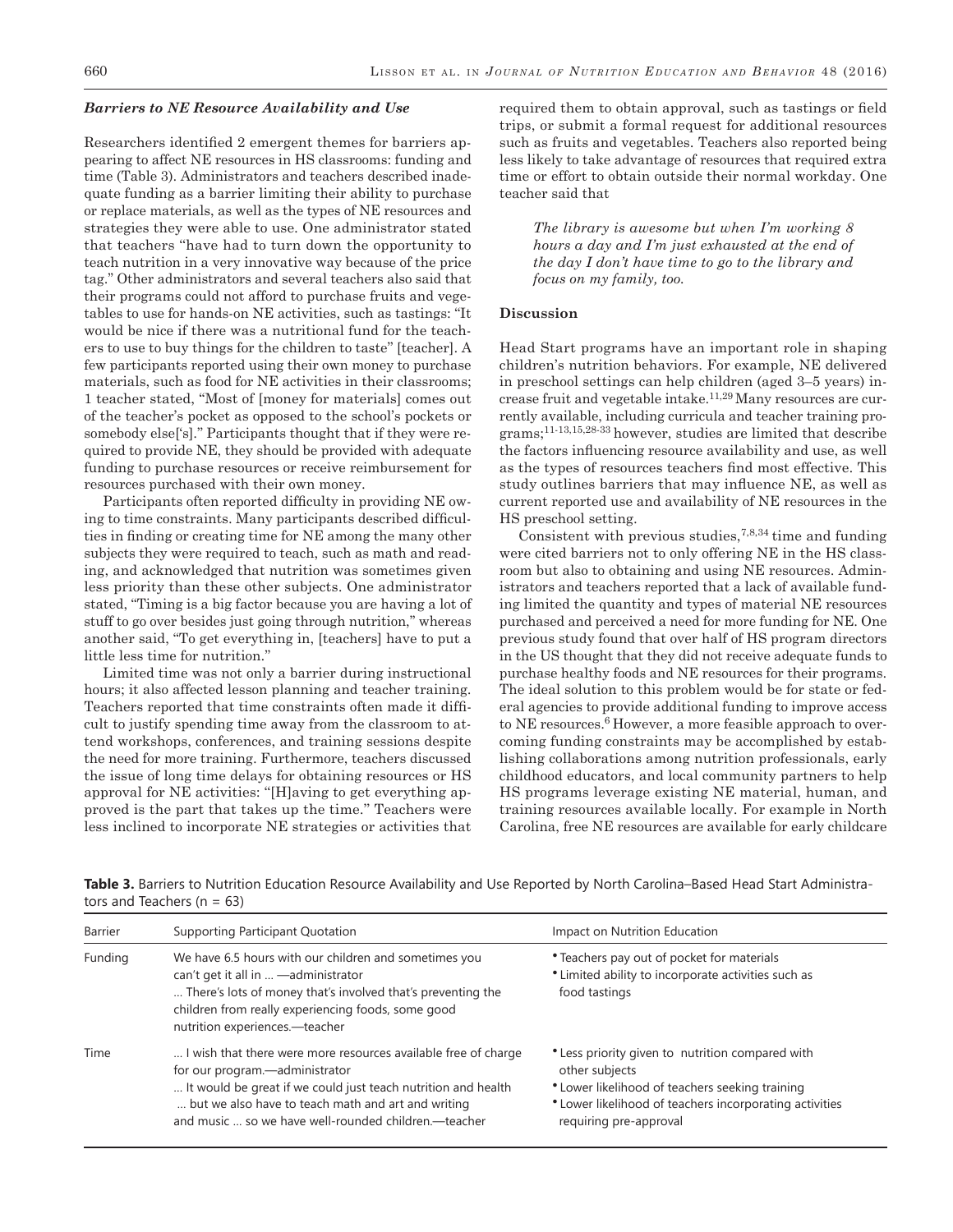#### *Barriers to NE Resource Availability and Use*

Researchers identified 2 emergent themes for barriers appearing to affect NE resources in HS classrooms: funding and time (Table 3). Administrators and teachers described inadequate funding as a barrier limiting their ability to purchase or replace materials, as well as the types of NE resources and strategies they were able to use. One administrator stated that teachers ''have had to turn down the opportunity to teach nutrition in a very innovative way because of the price tag.'' Other administrators and several teachers also said that their programs could not afford to purchase fruits and vegetables to use for hands-on NE activities, such as tastings: ''It would be nice if there was a nutritional fund for the teachers to use to buy things for the children to taste'' [teacher]. A few participants reported using their own money to purchase materials, such as food for NE activities in their classrooms; 1 teacher stated, ''Most of [money for materials] comes out of the teacher's pocket as opposed to the school's pockets or somebody else['s].'' Participants thought that if they were required to provide NE, they should be provided with adequate funding to purchase resources or receive reimbursement for resources purchased with their own money.

Participants often reported difficulty in providing NE owing to time constraints. Many participants described difficulties in finding or creating time for NE among the many other subjects they were required to teach, such as math and reading, and acknowledged that nutrition was sometimes given less priority than these other subjects. One administrator stated, ''Timing is a big factor because you are having a lot of stuff to go over besides just going through nutrition,'' whereas another said, ''To get everything in, [teachers] have to put a little less time for nutrition.''

Limited time was not only a barrier during instructional hours; it also affected lesson planning and teacher training. Teachers reported that time constraints often made it difficult to justify spending time away from the classroom to attend workshops, conferences, and training sessions despite the need for more training. Furthermore, teachers discussed the issue of long time delays for obtaining resources or HS approval for NE activities: ''[H]aving to get everything approved is the part that takes up the time.'' Teachers were less inclined to incorporate NE strategies or activities that

required them to obtain approval, such as tastings or field trips, or submit a formal request for additional resources such as fruits and vegetables. Teachers also reported being less likely to take advantage of resources that required extra time or effort to obtain outside their normal workday. One teacher said that

*The library is awesome but when I'm working 8 hours a day and I'm just exhausted at the end of the day I don't have time to go to the library and focus on my family, too.* 

#### **Discussion**

Head Start programs have an important role in shaping children's nutrition behaviors. For example, NE delivered in preschool settings can help children (aged 3–5 years) increase fruit and vegetable intake.11,29 Many resources are currently available, including curricula and teacher training programs;11-13,15,28-33 however, studies are limited that describe the factors influencing resource availability and use, as well as the types of resources teachers find most effective. This study outlines barriers that may influence NE, as well as current reported use and availability of NE resources in the HS preschool setting.

Consistent with previous studies,  $7,8,34$  time and funding were cited barriers not to only offering NE in the HS classroom but also to obtaining and using NE resources. Administrators and teachers reported that a lack of available funding limited the quantity and types of material NE resources purchased and perceived a need for more funding for NE. One previous study found that over half of HS program directors in the US thought that they did not receive adequate funds to purchase healthy foods and NE resources for their programs. The ideal solution to this problem would be for state or federal agencies to provide additional funding to improve access to NE resources.<sup>6</sup> However, a more feasible approach to overcoming funding constraints may be accomplished by establishing collaborations among nutrition professionals, early childhood educators, and local community partners to help HS programs leverage existing NE material, human, and training resources available locally. For example in North Carolina, free NE resources are available for early childcare

| Barrier | Supporting Participant Quotation                                                                                                                                                                                                                                                | Impact on Nutrition Education                                                                                                                                                                              |
|---------|---------------------------------------------------------------------------------------------------------------------------------------------------------------------------------------------------------------------------------------------------------------------------------|------------------------------------------------------------------------------------------------------------------------------------------------------------------------------------------------------------|
| Funding | We have 6.5 hours with our children and sometimes you<br>can't get it all in  - administrator<br>There's lots of money that's involved that's preventing the<br>children from really experiencing foods, some good<br>nutrition experiences.-teacher                            | • Teachers pay out of pocket for materials<br>• Limited ability to incorporate activities such as<br>food tastings                                                                                         |
| Time    | I wish that there were more resources available free of charge<br>for our program.-administrator<br>It would be great if we could just teach nutrition and health<br>but we also have to teach math and art and writing<br>and music  so we have well-rounded children.—teacher | • Less priority given to nutrition compared with<br>other subjects<br>• Lower likelihood of teachers seeking training<br>* Lower likelihood of teachers incorporating activities<br>requiring pre-approval |

**Table 3.** Barriers to Nutrition Education Resource Availability and Use Reported by North Carolina–Based Head Start Administrators and Teachers ( $n = 63$ )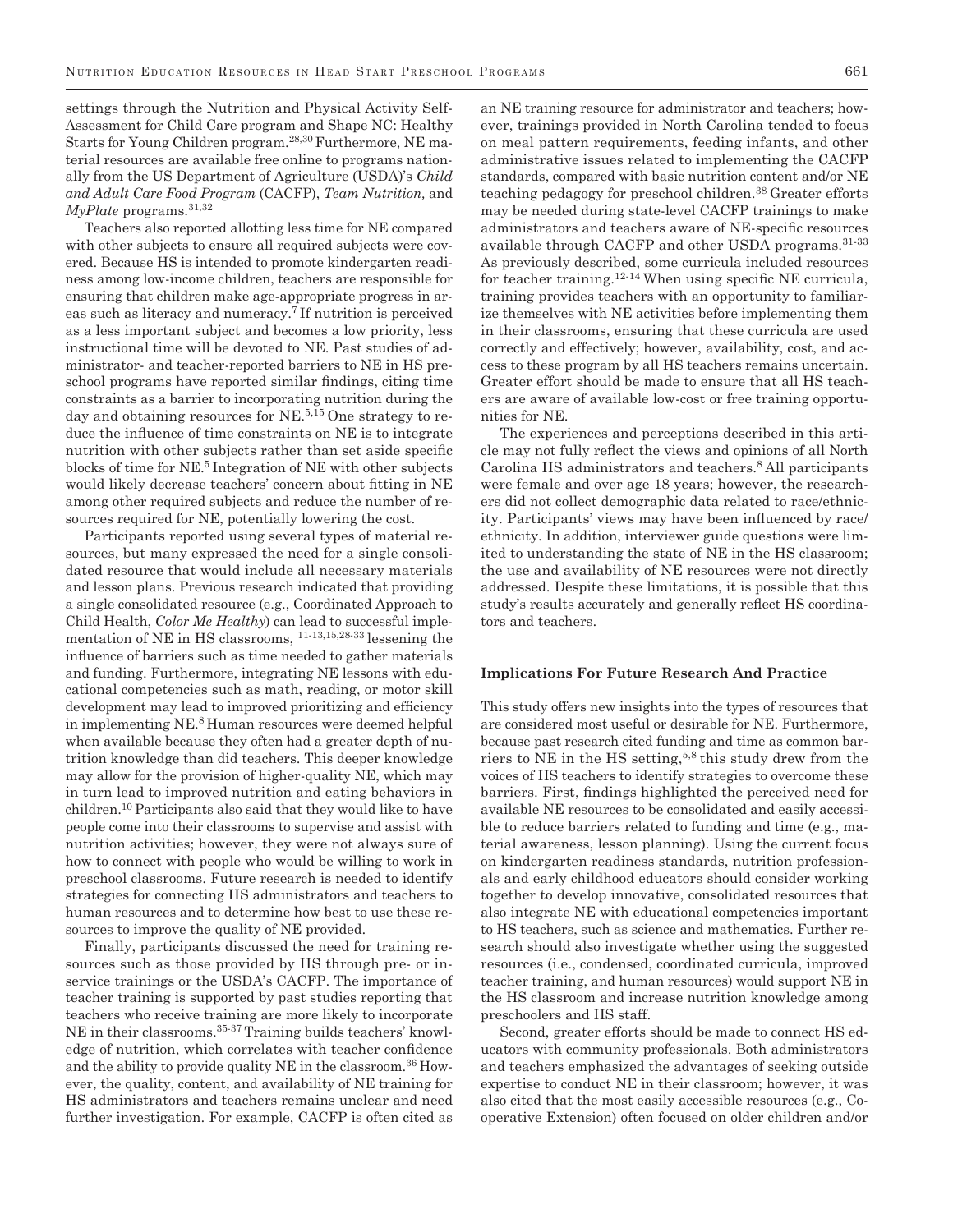settings through the Nutrition and Physical Activity Self-Assessment for Child Care program and Shape NC: Healthy Starts for Young Children program.28,30 Furthermore, NE material resources are available free online to programs nationally from the US Department of Agriculture (USDA)'s *Child and Adult Care Food Program* (CACFP), *Team Nutrition,* and *MyPlate* programs.31,32

Teachers also reported allotting less time for NE compared with other subjects to ensure all required subjects were covered. Because HS is intended to promote kindergarten readiness among low-income children, teachers are responsible for ensuring that children make age-appropriate progress in areas such as literacy and numeracy.7 If nutrition is perceived as a less important subject and becomes a low priority, less instructional time will be devoted to NE. Past studies of administrator- and teacher-reported barriers to NE in HS preschool programs have reported similar findings, citing time constraints as a barrier to incorporating nutrition during the day and obtaining resources for NE.5,15 One strategy to reduce the influence of time constraints on NE is to integrate nutrition with other subjects rather than set aside specific blocks of time for NE.5 Integration of NE with other subjects would likely decrease teachers' concern about fitting in NE among other required subjects and reduce the number of resources required for NE, potentially lowering the cost.

Participants reported using several types of material resources, but many expressed the need for a single consolidated resource that would include all necessary materials and lesson plans. Previous research indicated that providing a single consolidated resource (e.g., Coordinated Approach to Child Health, *Color Me Healthy*) can lead to successful implementation of NE in HS classrooms, 11-13,15,28-33 lessening the influence of barriers such as time needed to gather materials and funding. Furthermore, integrating NE lessons with educational competencies such as math, reading, or motor skill development may lead to improved prioritizing and efficiency in implementing NE.8 Human resources were deemed helpful when available because they often had a greater depth of nutrition knowledge than did teachers. This deeper knowledge may allow for the provision of higher-quality NE, which may in turn lead to improved nutrition and eating behaviors in children.10 Participants also said that they would like to have people come into their classrooms to supervise and assist with nutrition activities; however, they were not always sure of how to connect with people who would be willing to work in preschool classrooms. Future research is needed to identify strategies for connecting HS administrators and teachers to human resources and to determine how best to use these resources to improve the quality of NE provided.

Finally, participants discussed the need for training resources such as those provided by HS through pre- or inservice trainings or the USDA's CACFP. The importance of teacher training is supported by past studies reporting that teachers who receive training are more likely to incorporate NE in their classrooms.35-37 Training builds teachers' knowledge of nutrition, which correlates with teacher confidence and the ability to provide quality NE in the classroom.<sup>36</sup> However, the quality, content, and availability of NE training for HS administrators and teachers remains unclear and need further investigation. For example, CACFP is often cited as an NE training resource for administrator and teachers; however, trainings provided in North Carolina tended to focus on meal pattern requirements, feeding infants, and other administrative issues related to implementing the CACFP standards, compared with basic nutrition content and/or NE teaching pedagogy for preschool children.<sup>38</sup> Greater efforts may be needed during state-level CACFP trainings to make administrators and teachers aware of NE-specific resources available through CACFP and other USDA programs.31-33 As previously described, some curricula included resources for teacher training.12-14 When using specific NE curricula, training provides teachers with an opportunity to familiarize themselves with NE activities before implementing them in their classrooms, ensuring that these curricula are used correctly and effectively; however, availability, cost, and access to these program by all HS teachers remains uncertain. Greater effort should be made to ensure that all HS teachers are aware of available low-cost or free training opportunities for NE.

The experiences and perceptions described in this article may not fully reflect the views and opinions of all North Carolina HS administrators and teachers.<sup>8</sup> All participants were female and over age 18 years; however, the researchers did not collect demographic data related to race/ethnicity. Participants' views may have been influenced by race/ ethnicity. In addition, interviewer guide questions were limited to understanding the state of NE in the HS classroom; the use and availability of NE resources were not directly addressed. Despite these limitations, it is possible that this study's results accurately and generally reflect HS coordinators and teachers.

#### **Implications For Future Research And Practice**

This study offers new insights into the types of resources that are considered most useful or desirable for NE. Furthermore, because past research cited funding and time as common barriers to NE in the HS setting,<sup>5,8</sup> this study drew from the voices of HS teachers to identify strategies to overcome these barriers. First, findings highlighted the perceived need for available NE resources to be consolidated and easily accessible to reduce barriers related to funding and time (e.g., material awareness, lesson planning). Using the current focus on kindergarten readiness standards, nutrition professionals and early childhood educators should consider working together to develop innovative, consolidated resources that also integrate NE with educational competencies important to HS teachers, such as science and mathematics. Further research should also investigate whether using the suggested resources (i.e., condensed, coordinated curricula, improved teacher training, and human resources) would support NE in the HS classroom and increase nutrition knowledge among preschoolers and HS staff.

Second, greater efforts should be made to connect HS educators with community professionals. Both administrators and teachers emphasized the advantages of seeking outside expertise to conduct NE in their classroom; however, it was also cited that the most easily accessible resources (e.g., Cooperative Extension) often focused on older children and/or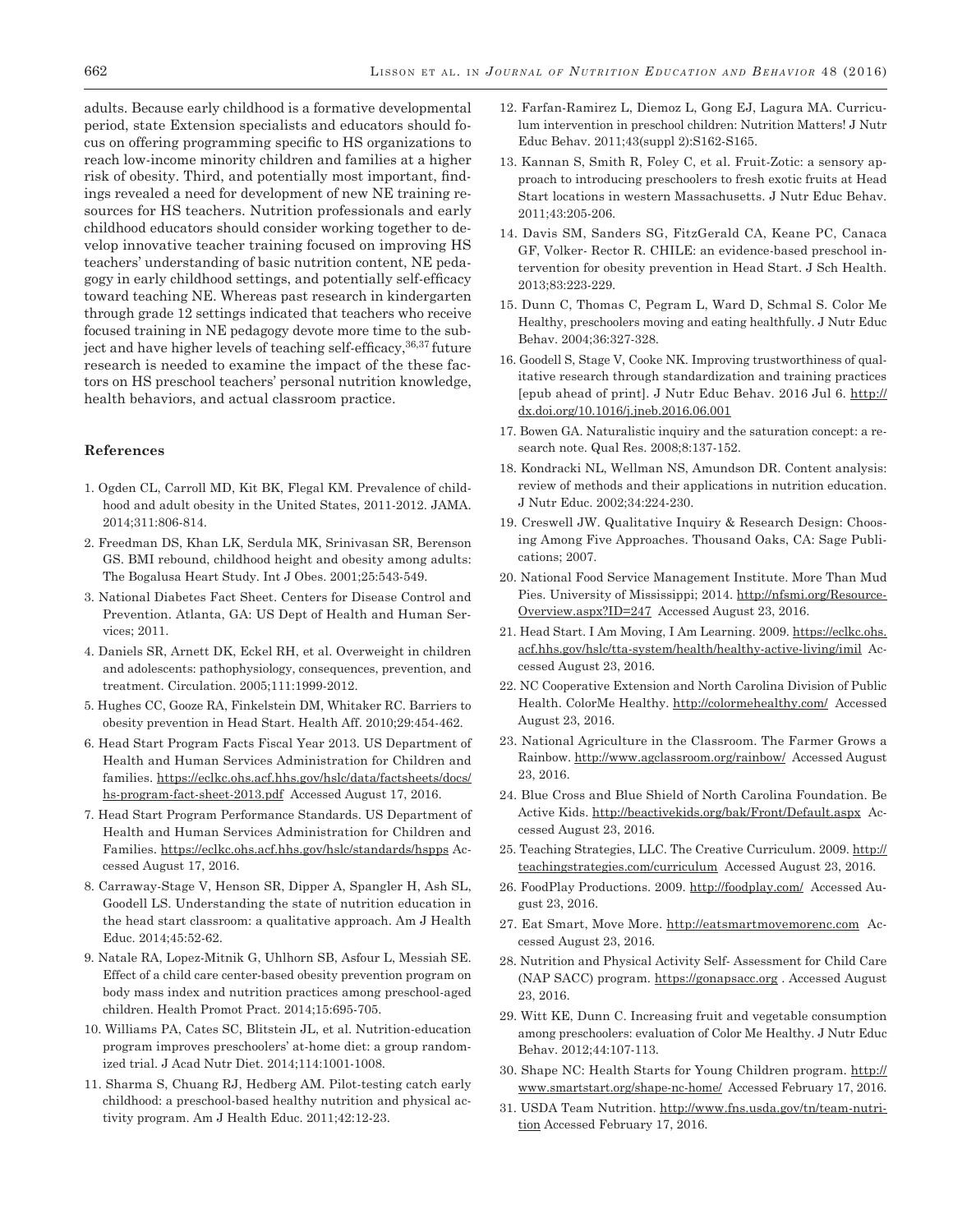adults. Because early childhood is a formative developmental period, state Extension specialists and educators should focus on offering programming specific to HS organizations to reach low-income minority children and families at a higher risk of obesity. Third, and potentially most important, findings revealed a need for development of new NE training resources for HS teachers. Nutrition professionals and early childhood educators should consider working together to develop innovative teacher training focused on improving HS teachers' understanding of basic nutrition content, NE pedagogy in early childhood settings, and potentially self-efficacy toward teaching NE. Whereas past research in kindergarten through grade 12 settings indicated that teachers who receive focused training in NE pedagogy devote more time to the subject and have higher levels of teaching self-efficacy,  $36,37$  future research is needed to examine the impact of the these factors on HS preschool teachers' personal nutrition knowledge, health behaviors, and actual classroom practice.

# **References**

- 1. Ogden CL, Carroll MD, Kit BK, Flegal KM. Prevalence of childhood and adult obesity in the United States, 2011-2012. JAMA. 2014;311:806-814.
- 2. Freedman DS, Khan LK, Serdula MK, Srinivasan SR, Berenson GS. BMI rebound, childhood height and obesity among adults: The Bogalusa Heart Study. Int J Obes. 2001;25:543-549.
- 3. National Diabetes Fact Sheet. Centers for Disease Control and Prevention. Atlanta, GA: US Dept of Health and Human Services; 2011.
- 4. Daniels SR, Arnett DK, Eckel RH, et al. Overweight in children and adolescents: pathophysiology, consequences, prevention, and treatment. Circulation. 2005;111:1999-2012.
- 5. Hughes CC, Gooze RA, Finkelstein DM, Whitaker RC. Barriers to obesity prevention in Head Start. Health Aff. 2010;29:454-462.
- 6. Head Start Program Facts Fiscal Year 2013. US Department of Health and Human Services Administration for Children and families. [https://eclkc.ohs.acf.hhs.gov/hslc/data/factsheets/docs/](https://eclkc.ohs.acf.hhs.gov/hslc/data/factsheets/docs/hs-program-fact-sheet-2013.pdf) [hs-program-fact-sheet-2013.pdf](https://eclkc.ohs.acf.hhs.gov/hslc/data/factsheets/docs/hs-program-fact-sheet-2013.pdf) Accessed August 17, 2016.
- 7. Head Start Program Performance Standards. US Department of Health and Human Services Administration for Children and Families.<https://eclkc.ohs.acf.hhs.gov/hslc/standards/hspps> Accessed August 17, 2016.
- 8. Carraway-Stage V, Henson SR, Dipper A, Spangler H, Ash SL, Goodell LS. Understanding the state of nutrition education in the head start classroom: a qualitative approach. Am J Health Educ. 2014;45:52-62.
- 9. Natale RA, Lopez-Mitnik G, Uhlhorn SB, Asfour L, Messiah SE. Effect of a child care center-based obesity prevention program on body mass index and nutrition practices among preschool-aged children. Health Promot Pract. 2014;15:695-705.
- 10. Williams PA, Cates SC, Blitstein JL, et al. Nutrition-education program improves preschoolers' at-home diet: a group randomized trial. J Acad Nutr Diet. 2014;114:1001-1008.
- 11. Sharma S, Chuang RJ, Hedberg AM. Pilot-testing catch early childhood: a preschool-based healthy nutrition and physical activity program. Am J Health Educ. 2011;42:12-23.
- 12. Farfan-Ramirez L, Diemoz L, Gong EJ, Lagura MA. Curriculum intervention in preschool children: Nutrition Matters! J Nutr Educ Behav. 2011;43(suppl 2):S162-S165.
- 13. Kannan S, Smith R, Foley C, et al. Fruit-Zotic: a sensory approach to introducing preschoolers to fresh exotic fruits at Head Start locations in western Massachusetts. J Nutr Educ Behav. 2011;43:205-206.
- 14. Davis SM, Sanders SG, FitzGerald CA, Keane PC, Canaca GF, Volker- Rector R. CHILE: an evidence-based preschool intervention for obesity prevention in Head Start. J Sch Health. 2013;83:223-229.
- 15. Dunn C, Thomas C, Pegram L, Ward D, Schmal S. Color Me Healthy, preschoolers moving and eating healthfully. J Nutr Educ Behav. 2004;36:327-328.
- 16. Goodell S, Stage V, Cooke NK. Improving trustworthiness of qualitative research through standardization and training practices [epub ahead of print]. J Nutr Educ Behav. 2016 Jul 6. [http://](http://dx.doi.org/10.1016/j.jneb.2016.06.001) [dx.doi.org/10.1016/j.jneb.2016.06.001](http://dx.doi.org/10.1016/j.jneb.2016.06.001)
- 17. Bowen GA. Naturalistic inquiry and the saturation concept: a research note. Qual Res. 2008;8:137-152.
- 18. Kondracki NL, Wellman NS, Amundson DR. Content analysis: review of methods and their applications in nutrition education. J Nutr Educ. 2002;34:224-230.
- 19. Creswell JW. Qualitative Inquiry & Research Design: Choosing Among Five Approaches. Thousand Oaks, CA: Sage Publications; 2007.
- 20. National Food Service Management Institute. More Than Mud Pies. University of Mississippi; 2014. [http://nfsmi.org/Resource-](http://nfsmi.org/ResourceOverview.aspx?ID=247)[Overview.aspx?ID=247](http://nfsmi.org/ResourceOverview.aspx?ID=247) Accessed August 23, 2016.
- 21. Head Start. I Am Moving, I Am Learning. 2009. [https://eclkc.ohs.](https://eclkc.ohs.acf.hhs.gov/hslc/tta-system/health/healthy-active-living/imil) [acf.hhs.gov/hslc/tta-system/health/healthy-active-living/imil](https://eclkc.ohs.acf.hhs.gov/hslc/tta-system/health/healthy-active-living/imil) Accessed August 23, 2016.
- 22. NC Cooperative Extension and North Carolina Division of Public Health. ColorMe Healthy. <http://colormehealthy.com/> Accessed August 23, 2016.
- 23. National Agriculture in the Classroom. The Farmer Grows a Rainbow.<http://www.agclassroom.org/rainbow/>Accessed August 23, 2016.
- 24. Blue Cross and Blue Shield of North Carolina Foundation. Be Active Kids. <http://beactivekids.org/bak/Front/Default.aspx> Accessed August 23, 2016.
- 25. Teaching Strategies, LLC. The Creative Curriculum. 2009. [http://](http://teachingstrategies.com/curriculum) [teachingstrategies.com/curriculum](http://teachingstrategies.com/curriculum) Accessed August 23, 2016.
- 26. FoodPlay Productions. 2009.<http://foodplay.com/> Accessed August 23, 2016.
- 27. Eat Smart, Move More.<http://eatsmartmovemorenc.com> Accessed August 23, 2016.
- 28. Nutrition and Physical Activity Self- Assessment for Child Care (NAP SACC) program. <https://gonapsacc.org>. Accessed August 23, 2016.
- 29. Witt KE, Dunn C. Increasing fruit and vegetable consumption among preschoolers: evaluation of Color Me Healthy. J Nutr Educ Behav. 2012;44:107-113.
- 30. Shape NC: Health Starts for Young Children program. [http://](http://www.smartstart.org/shape-nc-home/) [www.smartstart.org/shape-nc-home/](http://www.smartstart.org/shape-nc-home/) Accessed February 17, 2016.
- 31. USDA Team Nutrition. [http://www.fns.usda.gov/tn/team-nutri](http://www.fns.usda.gov/tn/team-nutrition)[tion](http://www.fns.usda.gov/tn/team-nutrition) Accessed February 17, 2016.